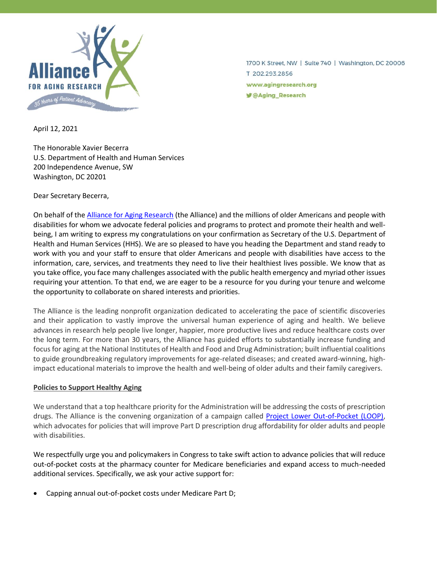

1700 K Street, NW | Suite 740 | Washington, DC 20006 T 202.293.2856 www.agingresearch.org **y** @Aging\_Research

April 12, 2021

The Honorable Xavier Becerra U.S. Department of Health and Human Services 200 Independence Avenue, SW Washington, DC 20201

Dear Secretary Becerra,

On behalf of the **Alliance for Aging Research** (the Alliance) and the millions of older Americans and people with disabilities for whom we advocate federal policies and programs to protect and promote their health and wellbeing, I am writing to express my congratulations on your confirmation as Secretary of the U.S. Department of Health and Human Services (HHS). We are so pleased to have you heading the Department and stand ready to work with you and your staff to ensure that older Americans and people with disabilities have access to the information, care, services, and treatments they need to live their healthiest lives possible. We know that as you take office, you face many challenges associated with the public health emergency and myriad other issues requiring your attention. To that end, we are eager to be a resource for you during your tenure and welcome the opportunity to collaborate on shared interests and priorities.

The Alliance is the leading nonprofit organization dedicated to accelerating the pace of scientific discoveries and their application to vastly improve the universal human experience of aging and health. We believe advances in research help people live longer, happier, more productive lives and reduce healthcare costs over the long term. For more than 30 years, the Alliance has guided efforts to substantially increase funding and focus for aging at the National Institutes of Health and Food and Drug Administration; built influential coalitions to guide groundbreaking regulatory improvements for age-related diseases; and created award-winning, highimpact educational materials to improve the health and well-being of older adults and their family caregivers.

## **Policies to Support Healthy Aging**

We understand that a top healthcare priority for the Administration will be addressing the costs of prescription drugs. The Alliance is the convening organization of a campaign called [Project Lower Out-of-Pocket \(LOOP\),](https://www.agingresearch.org/project-loop-lowering-out-of-pocket-costs/) which advocates for policies that will improve Part D prescription drug affordability for older adults and people with disabilities.

We respectfully urge you and policymakers in Congress to take swift action to advance policies that will reduce out-of-pocket costs at the pharmacy counter for Medicare beneficiaries and expand access to much-needed additional services. Specifically, we ask your active support for:

• Capping annual out-of-pocket costs under Medicare Part D;